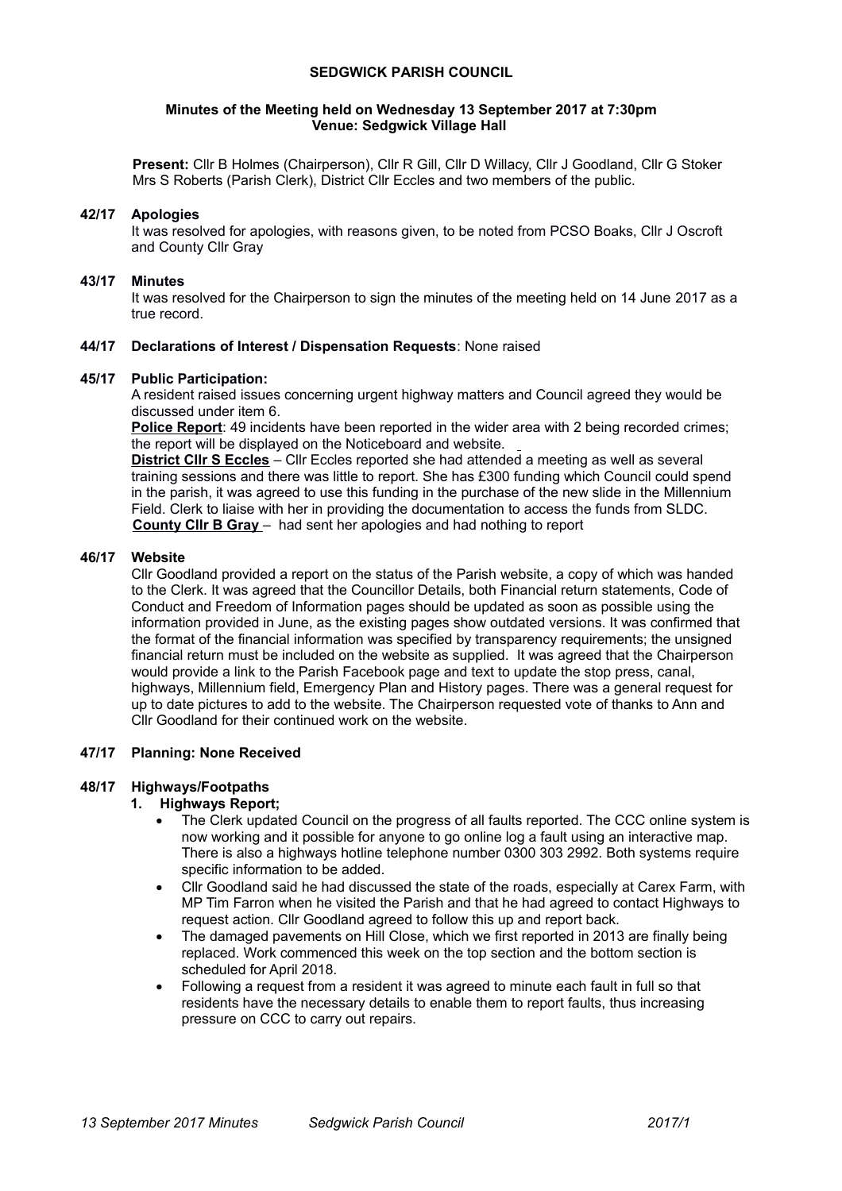### **SEDGWICK PARISH COUNCIL**

#### **Minutes of the Meeting held on Wednesday 13 September 2017 at 7:30pm Venue: Sedgwick Village Hall**

**Present:** Cllr B Holmes (Chairperson), Cllr R Gill, Cllr D Willacy, Cllr J Goodland, Cllr G Stoker Mrs S Roberts (Parish Clerk), District Cllr Eccles and two members of the public.

### **42/17 Apologies**

It was resolved for apologies, with reasons given, to be noted from PCSO Boaks, Cllr J Oscroft and County Cllr Gray

#### **43/17 Minutes**

It was resolved for the Chairperson to sign the minutes of the meeting held on 14 June 2017 as a true record.

### **44/17 Declarations of Interest / Dispensation Requests**: None raised

#### **45/17 Public Participation:**

A resident raised issues concerning urgent highway matters and Council agreed they would be discussed under item 6.

**Police Report**: 49 incidents have been reported in the wider area with 2 being recorded crimes; the report will be displayed on the Noticeboard and website.

**District Cllr S Eccles** – Cllr Eccles reported she had attended a meeting as well as several training sessions and there was little to report. She has £300 funding which Council could spend in the parish, it was agreed to use this funding in the purchase of the new slide in the Millennium Field. Clerk to liaise with her in providing the documentation to access the funds from SLDC.  **County Cllr B Gray** – had sent her apologies and had nothing to report

### **46/17 Website**

Cllr Goodland provided a report on the status of the Parish website, a copy of which was handed to the Clerk. It was agreed that the Councillor Details, both Financial return statements, Code of Conduct and Freedom of Information pages should be updated as soon as possible using the information provided in June, as the existing pages show outdated versions. It was confirmed that the format of the financial information was specified by transparency requirements; the unsigned financial return must be included on the website as supplied. It was agreed that the Chairperson would provide a link to the Parish Facebook page and text to update the stop press, canal, highways, Millennium field, Emergency Plan and History pages. There was a general request for up to date pictures to add to the website. The Chairperson requested vote of thanks to Ann and Cllr Goodland for their continued work on the website.

# **47/17 Planning: None Received**

#### **48/17 Highways/Footpaths**

#### **1. Highways Report;**

- The Clerk updated Council on the progress of all faults reported. The CCC online system is now working and it possible for anyone to go online log a fault using an interactive map. There is also a highways hotline telephone number 0300 303 2992. Both systems require specific information to be added.
- Cllr Goodland said he had discussed the state of the roads, especially at Carex Farm, with MP Tim Farron when he visited the Parish and that he had agreed to contact Highways to request action. Cllr Goodland agreed to follow this up and report back.
- The damaged pavements on Hill Close, which we first reported in 2013 are finally being replaced. Work commenced this week on the top section and the bottom section is scheduled for April 2018.
- Following a request from a resident it was agreed to minute each fault in full so that residents have the necessary details to enable them to report faults, thus increasing pressure on CCC to carry out repairs.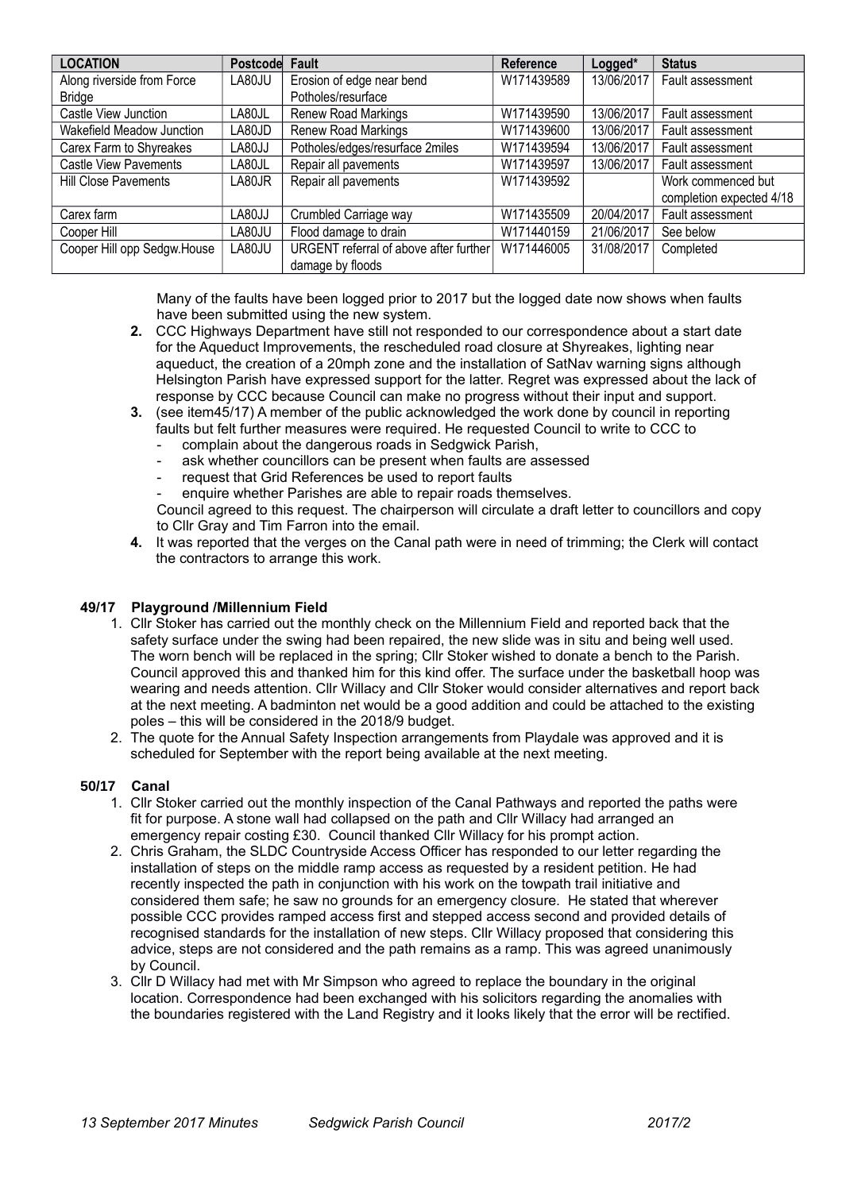| <b>LOCATION</b>              | Postcode Fault |                                        | <b>Reference</b> | Logged*    | <b>Status</b>            |
|------------------------------|----------------|----------------------------------------|------------------|------------|--------------------------|
| Along riverside from Force   | LA80JU         | Erosion of edge near bend              | W171439589       | 13/06/2017 | Fault assessment         |
| <b>Bridge</b>                |                | Potholes/resurface                     |                  |            |                          |
| Castle View Junction         | LA80JL         | Renew Road Markings                    | W171439590       | 13/06/2017 | Fault assessment         |
| Wakefield Meadow Junction    | LA80JD         | Renew Road Markings                    | W171439600       | 13/06/2017 | Fault assessment         |
| Carex Farm to Shyreakes      | LA80JJ         | Potholes/edges/resurface 2miles        | W171439594       | 13/06/2017 | Fault assessment         |
| <b>Castle View Pavements</b> | LA80JL         | Repair all pavements                   | W171439597       | 13/06/2017 | Fault assessment         |
| <b>Hill Close Pavements</b>  | LA80JR         | Repair all pavements                   | W171439592       |            | Work commenced but       |
|                              |                |                                        |                  |            | completion expected 4/18 |
| Carex farm                   | LA80JJ         | Crumbled Carriage way                  | W171435509       | 20/04/2017 | Fault assessment         |
| Cooper Hill                  | LA80JU         | Flood damage to drain                  | W171440159       | 21/06/2017 | See below                |
| Cooper Hill opp Sedgw.House  | LA80JU         | URGENT referral of above after further | W171446005       | 31/08/2017 | Completed                |
|                              |                | damage by floods                       |                  |            |                          |

Many of the faults have been logged prior to 2017 but the logged date now shows when faults have been submitted using the new system.

- **2.** CCC Highways Department have still not responded to our correspondence about a start date for the Aqueduct Improvements, the rescheduled road closure at Shyreakes, lighting near aqueduct, the creation of a 20mph zone and the installation of SatNav warning signs although Helsington Parish have expressed support for the latter. Regret was expressed about the lack of response by CCC because Council can make no progress without their input and support.
- **3.** (see item45/17) A member of the public acknowledged the work done by council in reporting faults but felt further measures were required. He requested Council to write to CCC to
	- complain about the dangerous roads in Sedgwick Parish, ask whether councillors can be present when faults are assessed
	- request that Grid References be used to report faults
	- enquire whether Parishes are able to repair roads themselves.

Council agreed to this request. The chairperson will circulate a draft letter to councillors and copy to Cllr Gray and Tim Farron into the email.

**4.** It was reported that the verges on the Canal path were in need of trimming; the Clerk will contact the contractors to arrange this work.

# **49/17 Playground /Millennium Field**

- 1. Cllr Stoker has carried out the monthly check on the Millennium Field and reported back that the safety surface under the swing had been repaired, the new slide was in situ and being well used. The worn bench will be replaced in the spring; Cllr Stoker wished to donate a bench to the Parish. Council approved this and thanked him for this kind offer. The surface under the basketball hoop was wearing and needs attention. Cllr Willacy and Cllr Stoker would consider alternatives and report back at the next meeting. A badminton net would be a good addition and could be attached to the existing poles – this will be considered in the 2018/9 budget.
- 2. The quote for the Annual Safety Inspection arrangements from Playdale was approved and it is scheduled for September with the report being available at the next meeting.

# **50/17 Canal**

- 1. Cllr Stoker carried out the monthly inspection of the Canal Pathways and reported the paths were fit for purpose. A stone wall had collapsed on the path and Cllr Willacy had arranged an emergency repair costing £30. Council thanked Cllr Willacy for his prompt action.
- 2. Chris Graham, the SLDC Countryside Access Officer has responded to our letter regarding the installation of steps on the middle ramp access as requested by a resident petition. He had recently inspected the path in conjunction with his work on the towpath trail initiative and considered them safe; he saw no grounds for an emergency closure. He stated that wherever possible CCC provides ramped access first and stepped access second and provided details of recognised standards for the installation of new steps. Cllr Willacy proposed that considering this advice, steps are not considered and the path remains as a ramp. This was agreed unanimously by Council.
- 3. Cllr D Willacy had met with Mr Simpson who agreed to replace the boundary in the original location. Correspondence had been exchanged with his solicitors regarding the anomalies with the boundaries registered with the Land Registry and it looks likely that the error will be rectified.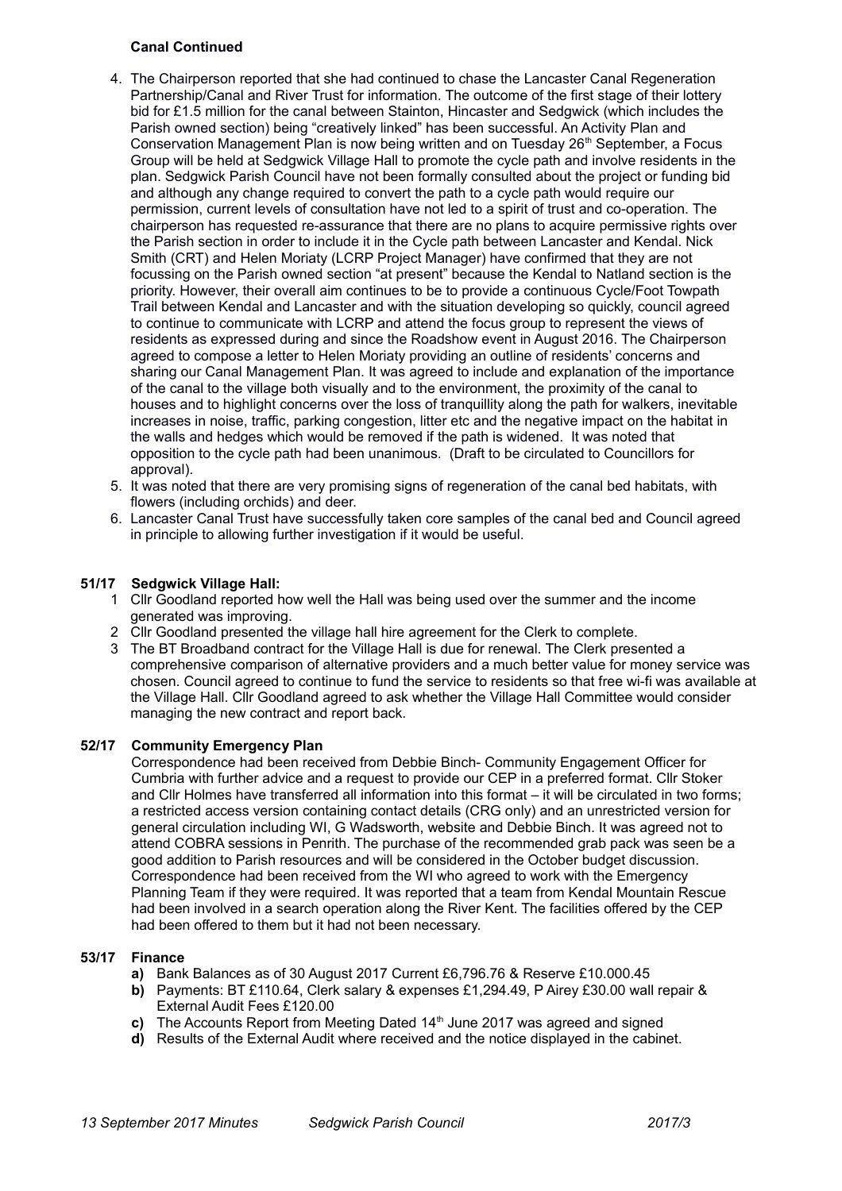# **Canal Continued**

- 4. The Chairperson reported that she had continued to chase the Lancaster Canal Regeneration Partnership/Canal and River Trust for information. The outcome of the first stage of their lottery bid for £1.5 million for the canal between Stainton, Hincaster and Sedgwick (which includes the Parish owned section) being "creatively linked" has been successful. An Activity Plan and Conservation Management Plan is now being written and on Tuesday 26<sup>th</sup> September, a Focus Group will be held at Sedgwick Village Hall to promote the cycle path and involve residents in the plan. Sedgwick Parish Council have not been formally consulted about the project or funding bid and although any change required to convert the path to a cycle path would require our permission, current levels of consultation have not led to a spirit of trust and co-operation. The chairperson has requested re-assurance that there are no plans to acquire permissive rights over the Parish section in order to include it in the Cycle path between Lancaster and Kendal. Nick Smith (CRT) and Helen Moriaty (LCRP Project Manager) have confirmed that they are not focussing on the Parish owned section "at present" because the Kendal to Natland section is the priority. However, their overall aim continues to be to provide a continuous Cycle/Foot Towpath Trail between Kendal and Lancaster and with the situation developing so quickly, council agreed to continue to communicate with LCRP and attend the focus group to represent the views of residents as expressed during and since the Roadshow event in August 2016. The Chairperson agreed to compose a letter to Helen Moriaty providing an outline of residents' concerns and sharing our Canal Management Plan. It was agreed to include and explanation of the importance of the canal to the village both visually and to the environment, the proximity of the canal to houses and to highlight concerns over the loss of tranquillity along the path for walkers, inevitable increases in noise, traffic, parking congestion, litter etc and the negative impact on the habitat in the walls and hedges which would be removed if the path is widened. It was noted that opposition to the cycle path had been unanimous. (Draft to be circulated to Councillors for approval).
- 5. It was noted that there are very promising signs of regeneration of the canal bed habitats, with flowers (including orchids) and deer.
- 6. Lancaster Canal Trust have successfully taken core samples of the canal bed and Council agreed in principle to allowing further investigation if it would be useful.

# **51/17 Sedgwick Village Hall:**

- 1 Cllr Goodland reported how well the Hall was being used over the summer and the income generated was improving.
- 2 Cllr Goodland presented the village hall hire agreement for the Clerk to complete.
- 3 The BT Broadband contract for the Village Hall is due for renewal. The Clerk presented a comprehensive comparison of alternative providers and a much better value for money service was chosen. Council agreed to continue to fund the service to residents so that free wi-fi was available at the Village Hall. Cllr Goodland agreed to ask whether the Village Hall Committee would consider managing the new contract and report back.

# **52/17 Community Emergency Plan**

Correspondence had been received from Debbie Binch- Community Engagement Officer for Cumbria with further advice and a request to provide our CEP in a preferred format. Cllr Stoker and Cllr Holmes have transferred all information into this format – it will be circulated in two forms; a restricted access version containing contact details (CRG only) and an unrestricted version for general circulation including WI, G Wadsworth, website and Debbie Binch. It was agreed not to attend COBRA sessions in Penrith. The purchase of the recommended grab pack was seen be a good addition to Parish resources and will be considered in the October budget discussion. Correspondence had been received from the WI who agreed to work with the Emergency Planning Team if they were required. It was reported that a team from Kendal Mountain Rescue had been involved in a search operation along the River Kent. The facilities offered by the CEP had been offered to them but it had not been necessary.

#### **53/17 Finance**

- **a)** Bank Balances as of 30 August 2017 Current £6,796.76 & Reserve £10.000.45
- **b)** Payments: BT £110.64, Clerk salary & expenses £1,294.49, P Airey £30.00 wall repair & External Audit Fees £120.00
- **c)** The Accounts Report from Meeting Dated 14<sup>th</sup> June 2017 was agreed and signed
- **d)** Results of the External Audit where received and the notice displayed in the cabinet.